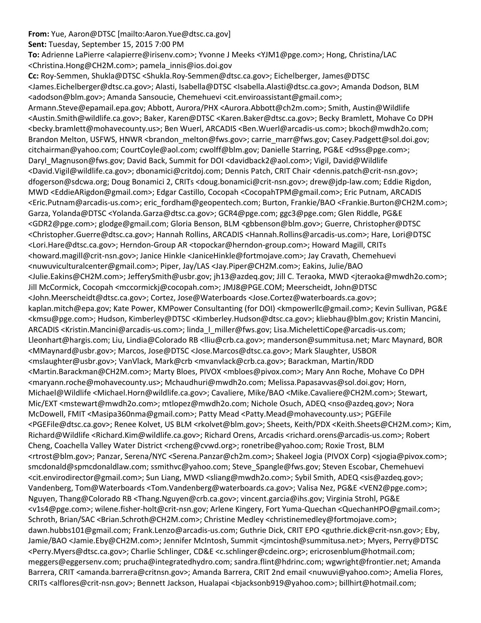## **From:** Yue, Aaron@DTSC [mailto:Aaron.Yue@dtsc.ca.gov]

**Sent:** Tuesday, September 15, 2015 7:00 PM

**To:** Adrienne LaPierre <alapierre@irisenv.com>; Yvonne J Meeks <YJM1@pge.com>; Hong, Christina/LAC <Christina.Hong@CH2M.com>; pamela\_innis@ios.doi.gov

**Cc:** Roy‐Semmen, Shukla@DTSC <Shukla.Roy‐Semmen@dtsc.ca.gov>; Eichelberger, James@DTSC <James.Eichelberger@dtsc.ca.gov>; Alasti, Isabella@DTSC <Isabella.Alasti@dtsc.ca.gov>; Amanda Dodson, BLM <adodson@blm.gov>; Amanda Sansoucie, Chemehuevi <cit.enviroassistant@gmail.com>; Armann.Steve@epamail.epa.gov; Abbott, Aurora/PHX <Aurora.Abbott@ch2m.com>; Smith, Austin@Wildlife <Austin.Smith@wildlife.ca.gov>; Baker, Karen@DTSC <Karen.Baker@dtsc.ca.gov>; Becky Bramlett, Mohave Co DPH <becky.bramlett@mohavecounty.us>; Ben Wuerl, ARCADIS <Ben.Wuerl@arcadis‐us.com>; bkoch@mwdh2o.com; Brandon Melton, USFWS, HNWR <brandon\_melton@fws.gov>; carrie\_marr@fws.gov; Casey.Padgett@sol.doi.gov; citchairman@yahoo.com; CourtCoyle@aol.com; cwolff@blm.gov; Danielle Starring, PG&E <d9ss@pge.com>; Daryl\_Magnuson@fws.gov; David Back, Summit for DOI <davidback2@aol.com>; Vigil, David@Wildlife <David.Vigil@wildlife.ca.gov>; dbonamici@critdoj.com; Dennis Patch, CRIT Chair <dennis.patch@crit‐nsn.gov>; dfogerson@sdcwa.org; Doug Bonamici 2, CRITs <doug.bonamici@crit‐nsn.gov>; drew@jdp‐law.com; Eddie Rigdon, MWD <EddieARigdon@gmail.com>; Edgar Castillo, Cocopah <CocopahTPM@gmail.com>; Eric Putnam, ARCADIS <Eric.Putnam@arcadis‐us.com>; eric\_fordham@geopentech.com; Burton, Frankie/BAO <Frankie.Burton@CH2M.com>; Garza, Yolanda@DTSC <Yolanda.Garza@dtsc.ca.gov>; GCR4@pge.com; ggc3@pge.com; Glen Riddle, PG&E <GDR2@pge.com>; glodge@gmail.com; Gloria Benson, BLM <gbbenson@blm.gov>; Guerre, Christopher@DTSC <Christopher.Guerre@dtsc.ca.gov>; Hannah Rollins, ARCADIS <Hannah.Rollins@arcadis‐us.com>; Hare, Lori@DTSC <Lori.Hare@dtsc.ca.gov>; Herndon‐Group AR <topockar@herndon‐group.com>; Howard Magill, CRITs <howard.magill@crit‐nsn.gov>; Janice Hinkle <JaniceHinkle@fortmojave.com>; Jay Cravath, Chemehuevi <nuwuviculturalcenter@gmail.com>; Piper, Jay/LAS <Jay.Piper@CH2M.com>; Eakins, Julie/BAO <Julie.Eakins@CH2M.com>; JefferySmith@usbr.gov; jh13@azdeq.gov; Jill C. Teraoka, MWD <jteraoka@mwdh2o.com>; Jill McCormick, Cocopah <mccormickj@cocopah.com>; JMJ8@PGE.COM; Meerscheidt, John@DTSC <John.Meerscheidt@dtsc.ca.gov>; Cortez, Jose@Waterboards <Jose.Cortez@waterboards.ca.gov>; kaplan.mitch@epa.gov; Kate Power, KMPower Consultanting (for DOI) <kmpowerllc@gmail.com>; Kevin Sullivan, PG&E <kmsu@pge.com>; Hudson, Kimberley@DTSC <Kimberley.Hudson@dtsc.ca.gov>; kliebhau@blm.gov; Kristin Mancini, ARCADIS <Kristin.Mancini@arcadis-us.com>; linda\_l\_miller@fws.gov; Lisa.MichelettiCope@arcadis-us.com; Lleonhart@hargis.com; Liu, Lindia@Colorado RB <lliu@crb.ca.gov>; manderson@summitusa.net; Marc Maynard, BOR <MMaynard@usbr.gov>; Marcos, Jose@DTSC <Jose.Marcos@dtsc.ca.gov>; Mark Slaughter, USBOR <mslaughter@usbr.gov>; VanVlack, Mark@crb <mvanvlack@crb.ca.gov>; Barackman, Martin/RDD <Martin.Barackman@CH2M.com>; Marty Bloes, PIVOX <mbloes@pivox.com>; Mary Ann Roche, Mohave Co DPH <maryann.roche@mohavecounty.us>; Mchaudhuri@mwdh2o.com; Melissa.Papasavvas@sol.doi.gov; Horn, Michael@Wildlife <Michael.Horn@wildlife.ca.gov>; Cavaliere, Mike/BAO <Mike.Cavaliere@CH2M.com>; Stewart, Mic/EXT <mstewart@mwdh2o.com>; mtlopez@mwdh2o.com; Nichole Osuch, ADEQ <nso@azdeq.gov>; Nora McDowell, FMIT <Masipa360nma@gmail.com>; Patty Mead <Patty.Mead@mohavecounty.us>; PGEFile <PGEFile@dtsc.ca.gov>; Renee Kolvet, US BLM <rkolvet@blm.gov>; Sheets, Keith/PDX <Keith.Sheets@CH2M.com>; Kim, Richard@Wildlife <Richard.Kim@wildlife.ca.gov>; Richard Orens, Arcadis <richard.orens@arcadis‐us.com>; Robert Cheng, Coachella Valley Water District <rcheng@cvwd.org>; ronetribe@yahoo.com; Roxie Trost, BLM <rtrost@blm.gov>; Panzar, Serena/NYC <Serena.Panzar@ch2m.com>; Shakeel Jogia (PIVOX Corp) <sjogia@pivox.com>; smcdonald@spmcdonaldlaw.com; ssmithvc@yahoo.com; Steve\_Spangle@fws.gov; Steven Escobar, Chemehuevi <cit.envirodirector@gmail.com>; Sun Liang, MWD <sliang@mwdh2o.com>; Sybil Smith, ADEQ <sis@azdeq.gov>; Vandenberg, Tom@Waterboards <Tom.Vandenberg@waterboards.ca.gov>; Valisa Nez, PG&E <VEN2@pge.com>; Nguyen, Thang@Colorado RB <Thang.Nguyen@crb.ca.gov>; vincent.garcia@ihs.gov; Virginia Strohl, PG&E <v1s4@pge.com>; wilene.fisher‐holt@crit‐nsn.gov; Arlene Kingery, Fort Yuma‐Quechan <QuechanHPO@gmail.com>; Schroth, Brian/SAC <Brian.Schroth@CH2M.com>; Christine Medley <christinemedley@fortmojave.com>; dawn.hubbs101@gmail.com; Frank.Lenzo@arcadis‐us.com; Guthrie Dick, CRIT EPO <guthrie.dick@crit‐nsn.gov>; Eby, Jamie/BAO <Jamie.Eby@CH2M.com>; Jennifer McIntosh, Summit <jmcintosh@summitusa.net>; Myers, Perry@DTSC <Perry.Myers@dtsc.ca.gov>; Charlie Schlinger, CD&E <c.schlinger@cdeinc.org>; ericrosenblum@hotmail.com; meggers@eggersenv.com; prucha@integratedhydro.com; sandra.flint@hdrinc.com; wgwright@frontier.net; Amanda Barrera, CRIT <amanda.barrera@critnsn.gov>; Amanda Barrera, CRIT 2nd email <nuwuvi@yahoo.com>; Amelia Flores, CRITs <alflores@crit-nsn.gov>; Bennett Jackson, Hualapai <br/>sbiacksonb919@yahoo.com>; billhirt@hotmail.com;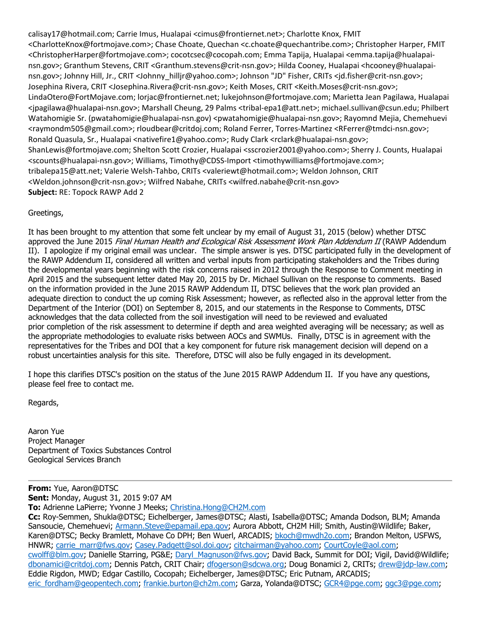calisay17@hotmail.com; Carrie Imus, Hualapai <cimus@frontiernet.net>; Charlotte Knox, FMIT <CharlotteKnox@fortmojave.com>; Chase Choate, Quechan <c.choate@quechantribe.com>; Christopher Harper, FMIT <ChristopherHarper@fortmojave.com>; cocotcsec@cocopah.com; Emma Tapija, Hualapai <emma.tapija@hualapai‐ nsn.gov>; Granthum Stevens, CRIT <Granthum.stevens@crit‐nsn.gov>; Hilda Cooney, Hualapai <hcooney@hualapai‐ nsn.gov>; Johnny Hill, Jr., CRIT <Johnny\_hilljr@yahoo.com>; Johnson "JD" Fisher, CRITs <jd.fisher@crit-nsn.gov>; Josephina Rivera, CRIT <Josephina.Rivera@crit‐nsn.gov>; Keith Moses, CRIT <Keith.Moses@crit‐nsn.gov>; LindaOtero@FortMojave.com; lorjac@frontiernet.net; lukejohnson@fortmojave.com; Marietta Jean Pagilawa, Hualapai <jpagilawa@hualapai‐nsn.gov>; Marshall Cheung, 29 Palms <tribal‐epa1@att.net>; michael.sullivan@csun.edu; Philbert Watahomigie Sr. (pwatahomigie@hualapai-nsn.gov) <pwatahomigie@hualapai-nsn.gov>; Rayomnd Mejia, Chemehuevi <raymondm505@gmail.com>; rloudbear@critdoj.com; Roland Ferrer, Torres‐Martinez <RFerrer@tmdci‐nsn.gov>; Ronald Quasula, Sr., Hualapai <nativefire1@yahoo.com>; Rudy Clark <rclark@hualapai-nsn.gov>; ShanLewis@fortmojave.com; Shelton Scott Crozier, Hualapai <sscrozier2001@yahoo.com>; Sherry J. Counts, Hualapai <scounts@hualapai‐nsn.gov>; Williams, Timothy@CDSS‐Import <timothywilliams@fortmojave.com>; tribalepa15@att.net; Valerie Welsh‐Tahbo, CRITs <valeriewt@hotmail.com>; Weldon Johnson, CRIT <Weldon.johnson@crit‐nsn.gov>; Wilfred Nabahe, CRITs <wilfred.nabahe@crit‐nsn.gov> **Subject:** RE: Topock RAWP Add 2

## Greetings,

It has been brought to my attention that some felt unclear by my email of August 31, 2015 (below) whether DTSC approved the June 2015 Final Human Health and Ecological Risk Assessment Work Plan Addendum II (RAWP Addendum II). I apologize if my original email was unclear. The simple answer is yes. DTSC participated fully in the development of the RAWP Addendum II, considered all written and verbal inputs from participating stakeholders and the Tribes during the developmental years beginning with the risk concerns raised in 2012 through the Response to Comment meeting in April 2015 and the subsequent letter dated May 20, 2015 by Dr. Michael Sullivan on the response to comments. Based on the information provided in the June 2015 RAWP Addendum II, DTSC believes that the work plan provided an adequate direction to conduct the up coming Risk Assessment; however, as reflected also in the approval letter from the Department of the Interior (DOI) on September 8, 2015, and our statements in the Response to Comments, DTSC acknowledges that the data collected from the soil investigation will need to be reviewed and evaluated prior completion of the risk assessment to determine if depth and area weighted averaging will be necessary; as well as the appropriate methodologies to evaluate risks between AOCs and SWMUs. Finally, DTSC is in agreement with the representatives for the Tribes and DOI that a key component for future risk management decision will depend on a robust uncertainties analysis for this site. Therefore, DTSC will also be fully engaged in its development.

I hope this clarifies DTSC's position on the status of the June 2015 RAWP Addendum II. If you have any questions, please feel free to contact me.

Regards,

Aaron Yue Project Manager Department of Toxics Substances Control Geological Services Branch

**From:** Yue, Aaron@DTSC **Sent:** Monday, August 31, 2015 9:07 AM

**To:** Adrienne LaPierre; Yvonne J Meeks; Christina.Hong@CH2M.com

**Cc:** Roy-Semmen, Shukla@DTSC; Eichelberger, James@DTSC; Alasti, Isabella@DTSC; Amanda Dodson, BLM; Amanda Sansoucie, Chemehuevi; Armann.Steve@epamail.epa.gov; Aurora Abbott, CH2M Hill; Smith, Austin@Wildlife; Baker, Karen@DTSC; Becky Bramlett, Mohave Co DPH; Ben Wuerl, ARCADIS; bkoch@mwdh2o.com; Brandon Melton, USFWS, HNWR; carrie\_marr@fws.gov; Casey.Padgett@sol.doi.gov; citchairman@yahoo.com; CourtCoyle@aol.com; cwolff@blm.gov; Danielle Starring, PG&E; Daryl\_Magnuson@fws.gov; David Back, Summit for DOI; Vigil, David@Wildlife; dbonamici@critdoj.com; Dennis Patch, CRIT Chair; dfogerson@sdcwa.org; Doug Bonamici 2, CRITs; drew@jdp-law.com; Eddie Rigdon, MWD; Edgar Castillo, Cocopah; Eichelberger, James@DTSC; Eric Putnam, ARCADIS; eric\_fordham@geopentech.com; frankie.burton@ch2m.com; Garza, Yolanda@DTSC; GCR4@pge.com; ggc3@pge.com;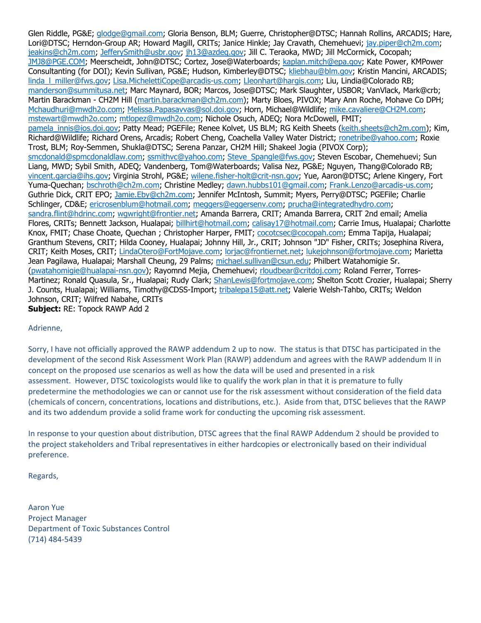Glen Riddle, PG&E; glodge@gmail.com; Gloria Benson, BLM; Guerre, Christopher@DTSC; Hannah Rollins, ARCADIS; Hare, Lori@DTSC; Herndon-Group AR; Howard Magill, CRITs; Janice Hinkle; Jay Cravath, Chemehuevi; jay.piper@ch2m.com; jeakins@ch2m.com; JefferySmith@usbr.gov; jh13@azdeq.gov; Jill C. Teraoka, MWD; Jill McCormick, Cocopah; JMJ8@PGE.COM; Meerscheidt, John@DTSC; Cortez, Jose@Waterboards; kaplan.mitch@epa.gov; Kate Power, KMPower Consultanting (for DOI); Kevin Sullivan, PG&E; Hudson, Kimberley@DTSC; kliebhau@blm.gov; Kristin Mancini, ARCADIS; linda\_l\_miller@fws.gov; Lisa.MichelettiCope@arcadis-us.com; Lleonhart@hargis.com; Liu, Lindia@Colorado RB; manderson@summitusa.net; Marc Maynard, BOR; Marcos, Jose@DTSC; Mark Slaughter, USBOR; VanVlack, Mark@crb; Martin Barackman - CH2M Hill (martin.barackman@ch2m.com); Marty Bloes, PIVOX; Mary Ann Roche, Mohave Co DPH; Mchaudhuri@mwdh2o.com; Melissa.Papasavvas@sol.doi.gov; Horn, Michael@Wildlife; mike.cavaliere@CH2M.com; mstewart@mwdh2o.com; mtlopez@mwdh2o.com; Nichole Osuch, ADEQ; Nora McDowell, FMIT; pamela\_innis@ios.doi.gov; Patty Mead; PGEFile; Renee Kolvet, US BLM; RG Keith Sheets (keith.sheets@ch2m.com); Kim, Richard@Wildlife; Richard Orens, Arcadis; Robert Cheng, Coachella Valley Water District; ronetribe@yahoo.com; Roxie Trost, BLM; Roy-Semmen, Shukla@DTSC; Serena Panzar, CH2M Hill; Shakeel Jogia (PIVOX Corp); smcdonald@spmcdonaldlaw.com; ssmithvc@yahoo.com; Steve\_Spangle@fws.gov; Steven Escobar, Chemehuevi; Sun Liang, MWD; Sybil Smith, ADEQ; Vandenberg, Tom@Waterboards; Valisa Nez, PG&E; Nguyen, Thang@Colorado RB; vincent.garcia@ihs.gov; Virginia Strohl, PG&E; wilene.fisher-holt@crit-nsn.gov; Yue, Aaron@DTSC; Arlene Kingery, Fort Yuma-Quechan; bschroth@ch2m.com; Christine Medley; dawn.hubbs101@gmail.com; Frank.Lenzo@arcadis-us.com; Guthrie Dick, CRIT EPO; Jamie.Eby@ch2m.com; Jennifer McIntosh, Summit; Myers, Perry@DTSC; PGEFile; Charlie Schlinger, CD&E; ericrosenblum@hotmail.com; meggers@eggersenv.com; prucha@integratedhydro.com; sandra.flint@hdrinc.com; wgwright@frontier.net; Amanda Barrera, CRIT; Amanda Barrera, CRIT 2nd email; Amelia Flores, CRITs; Bennett Jackson, Hualapai; billhirt@hotmail.com; calisay17@hotmail.com; Carrie Imus, Hualapai; Charlotte Knox, FMIT; Chase Choate, Quechan; Christopher Harper, FMIT; cocotcsec@cocopah.com; Emma Tapija, Hualapai; Granthum Stevens, CRIT; Hilda Cooney, Hualapai; Johnny Hill, Jr., CRIT; Johnson "JD" Fisher, CRITs; Josephina Rivera, CRIT; Keith Moses, CRIT; LindaOtero@FortMojave.com; lorjac@frontiernet.net; lukejohnson@fortmojave.com; Marietta Jean Pagilawa, Hualapai; Marshall Cheung, 29 Palms; michael.sullivan@csun.edu; Philbert Watahomigie Sr. (pwatahomigie@hualapai-nsn.gov); Rayomnd Mejia, Chemehuevi; rloudbear@critdoj.com; Roland Ferrer, Torres-Martinez; Ronald Quasula, Sr., Hualapai; Rudy Clark; ShanLewis@fortmojave.com; Shelton Scott Crozier, Hualapai; Sherry J. Counts, Hualapai; Williams, Timothy@CDSS-Import; tribalepa15@att.net; Valerie Welsh-Tahbo, CRITs; Weldon Johnson, CRIT; Wilfred Nabahe, CRITs **Subject:** RE: Topock RAWP Add 2

## Adrienne,

Sorry, I have not officially approved the RAWP addendum 2 up to now. The status is that DTSC has participated in the development of the second Risk Assessment Work Plan (RAWP) addendum and agrees with the RAWP addendum II in concept on the proposed use scenarios as well as how the data will be used and presented in a risk assessment. However, DTSC toxicologists would like to qualify the work plan in that it is premature to fully predetermine the methodologies we can or cannot use for the risk assessment without consideration of the field data (chemicals of concern, concentrations, locations and distributions, etc.). Aside from that, DTSC believes that the RAWP and its two addendum provide a solid frame work for conducting the upcoming risk assessment.

In response to your question about distribution, DTSC agrees that the final RAWP Addendum 2 should be provided to the project stakeholders and Tribal representatives in either hardcopies or electronically based on their individual preference.

Regards,

Aaron Yue Project Manager Department of Toxic Substances Control (714) 484‐5439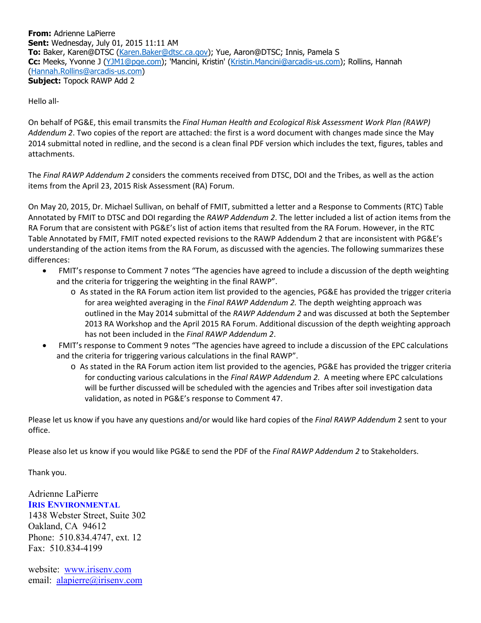**From:** Adrienne LaPierre **Sent:** Wednesday, July 01, 2015 11:11 AM **To:** Baker, Karen@DTSC (Karen.Baker@dtsc.ca.gov); Yue, Aaron@DTSC; Innis, Pamela S **Cc:** Meeks, Yvonne J (YJM1@pge.com); 'Mancini, Kristin' (Kristin.Mancini@arcadis-us.com); Rollins, Hannah (Hannah.Rollins@arcadis-us.com) **Subject:** Topock RAWP Add 2

Hello all‐

On behalf of PG&E, this email transmits the *Final Human Health and Ecological Risk Assessment Work Plan (RAWP) Addendum 2*. Two copies of the report are attached: the first is a word document with changes made since the May 2014 submittal noted in redline, and the second is a clean final PDF version which includes the text, figures, tables and attachments.

The *Final RAWP Addendum 2* considers the comments received from DTSC, DOI and the Tribes, as well as the action items from the April 23, 2015 Risk Assessment (RA) Forum.

On May 20, 2015, Dr. Michael Sullivan, on behalf of FMIT, submitted a letter and a Response to Comments (RTC) Table Annotated by FMIT to DTSC and DOI regarding the *RAWP Addendum 2*. The letter included a list of action items from the RA Forum that are consistent with PG&E's list of action items that resulted from the RA Forum. However, in the RTC Table Annotated by FMIT, FMIT noted expected revisions to the RAWP Addendum 2 that are inconsistent with PG&E's understanding of the action items from the RA Forum, as discussed with the agencies. The following summarizes these differences:

- FMIT's response to Comment 7 notes "The agencies have agreed to include a discussion of the depth weighting and the criteria for triggering the weighting in the final RAWP".
	- o As stated in the RA Forum action item list provided to the agencies, PG&E has provided the trigger criteria for area weighted averaging in the *Final RAWP Addendum 2.* The depth weighting approach was outlined in the May 2014 submittal of the *RAWP Addendum 2* and was discussed at both the September 2013 RA Workshop and the April 2015 RA Forum. Additional discussion of the depth weighting approach has not been included in the *Final RAWP Addendum 2*.
- FMIT's response to Comment 9 notes "The agencies have agreed to include a discussion of the EPC calculations and the criteria for triggering various calculations in the final RAWP".
	- o As stated in the RA Forum action item list provided to the agencies, PG&E has provided the trigger criteria for conducting various calculations in the *Final RAWP Addendum 2.* A meeting where EPC calculations will be further discussed will be scheduled with the agencies and Tribes after soil investigation data validation, as noted in PG&E's response to Comment 47.

Please let us know if you have any questions and/or would like hard copies of the *Final RAWP Addendum* 2 sent to your office.

Please also let us know if you would like PG&E to send the PDF of the *Final RAWP Addendum 2* to Stakeholders.

Thank you.

Adrienne LaPierre **IRIS ENVIRONMENTAL** 1438 Webster Street, Suite 302 Oakland, CA 94612 Phone: 510.834.4747, ext. 12 Fax: 510.834-4199

website: www.irisenv.com email: alapierre@irisenv.com